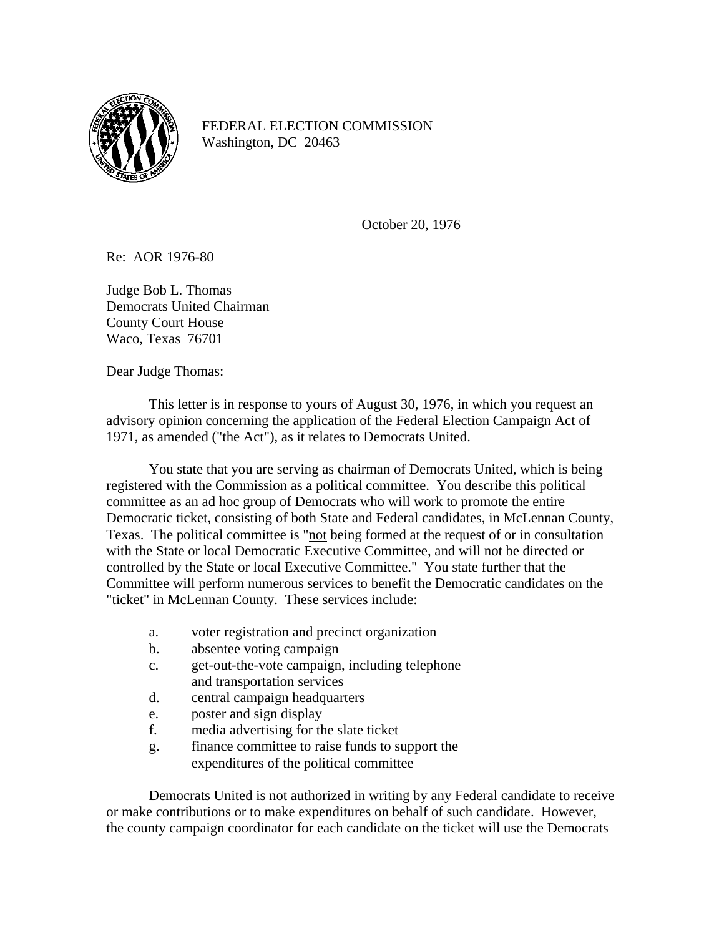

FEDERAL ELECTION COMMISSION Washington, DC 20463

October 20, 1976

Re: AOR 1976-80

Judge Bob L. Thomas Democrats United Chairman County Court House Waco, Texas 76701

Dear Judge Thomas:

This letter is in response to yours of August 30, 1976, in which you request an advisory opinion concerning the application of the Federal Election Campaign Act of 1971, as amended ("the Act"), as it relates to Democrats United.

You state that you are serving as chairman of Democrats United, which is being registered with the Commission as a political committee. You describe this political committee as an ad hoc group of Democrats who will work to promote the entire Democratic ticket, consisting of both State and Federal candidates, in McLennan County, Texas. The political committee is "not being formed at the request of or in consultation with the State or local Democratic Executive Committee, and will not be directed or controlled by the State or local Executive Committee." You state further that the Committee will perform numerous services to benefit the Democratic candidates on the "ticket" in McLennan County. These services include:

- a. voter registration and precinct organization
- b. absentee voting campaign
- c. get-out-the-vote campaign, including telephone and transportation services
- d. central campaign headquarters
- e. poster and sign display
- f. media advertising for the slate ticket
- g. finance committee to raise funds to support the expenditures of the political committee

Democrats United is not authorized in writing by any Federal candidate to receive or make contributions or to make expenditures on behalf of such candidate. However, the county campaign coordinator for each candidate on the ticket will use the Democrats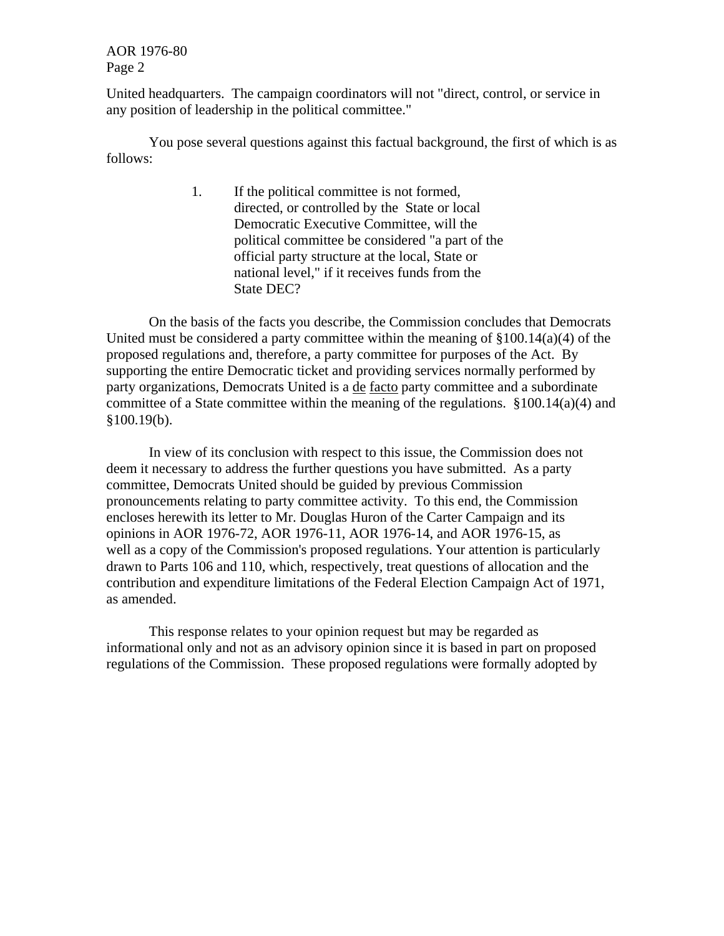AOR 1976-80 Page 2

United headquarters. The campaign coordinators will not "direct, control, or service in any position of leadership in the political committee."

You pose several questions against this factual background, the first of which is as follows:

> 1. If the political committee is not formed, directed, or controlled by the State or local Democratic Executive Committee, will the political committee be considered "a part of the official party structure at the local, State or national level," if it receives funds from the State DEC?

On the basis of the facts you describe, the Commission concludes that Democrats United must be considered a party committee within the meaning of  $$100.14(a)(4)$  of the proposed regulations and, therefore, a party committee for purposes of the Act. By supporting the entire Democratic ticket and providing services normally performed by party organizations, Democrats United is a de facto party committee and a subordinate committee of a State committee within the meaning of the regulations. §100.14(a)(4) and  $§100.19(b).$ 

In view of its conclusion with respect to this issue, the Commission does not deem it necessary to address the further questions you have submitted. As a party committee, Democrats United should be guided by previous Commission pronouncements relating to party committee activity. To this end, the Commission encloses herewith its letter to Mr. Douglas Huron of the Carter Campaign and its opinions in AOR 1976-72, AOR 1976-11, AOR 1976-14, and AOR 1976-15, as well as a copy of the Commission's proposed regulations. Your attention is particularly drawn to Parts 106 and 110, which, respectively, treat questions of allocation and the contribution and expenditure limitations of the Federal Election Campaign Act of 1971, as amended.

This response relates to your opinion request but may be regarded as informational only and not as an advisory opinion since it is based in part on proposed regulations of the Commission. These proposed regulations were formally adopted by